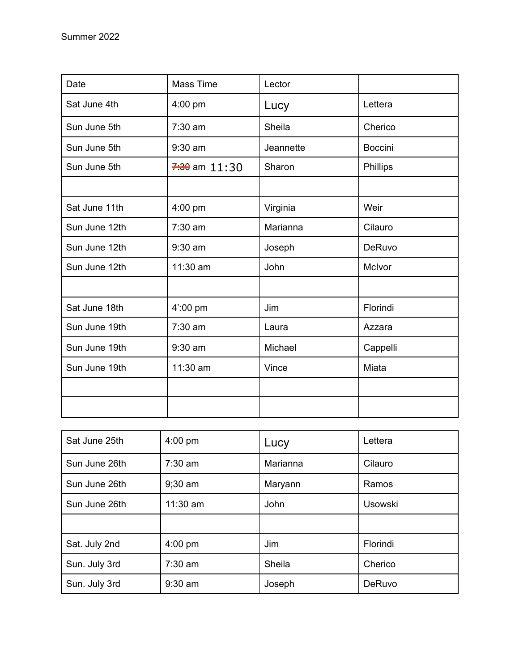| Date          | Mass Time         | Lector    |                |
|---------------|-------------------|-----------|----------------|
| Sat June 4th  | 4:00 pm           | Lucy      | Lettera        |
| Sun June 5th  | $7:30$ am         | Sheila    | Cherico        |
| Sun June 5th  | $9:30$ am         | Jeannette | <b>Boccini</b> |
| Sun June 5th  | $7:30$ am $11:30$ | Sharon    | Phillips       |
|               |                   |           |                |
| Sat June 11th | 4:00 pm           | Virginia  | Weir           |
| Sun June 12th | 7:30 am           | Marianna  | Cilauro        |
| Sun June 12th | $9:30$ am         | Joseph    | DeRuvo         |
| Sun June 12th | 11:30 am          | John      | McIvor         |
|               |                   |           |                |
| Sat June 18th | $4'$ :00 pm       | Jim       | Florindi       |
| Sun June 19th | 7:30 am           | Laura     | Azzara         |
| Sun June 19th | $9:30$ am         | Michael   | Cappelli       |
| Sun June 19th | 11:30 am          | Vince     | Miata          |
|               |                   |           |                |
|               |                   |           |                |

| Sat June 25th | $4:00$ pm  | Lucy     | Lettera        |
|---------------|------------|----------|----------------|
| Sun June 26th | $7:30$ am  | Marianna | Cilauro        |
| Sun June 26th | $9:30$ am  | Maryann  | Ramos          |
| Sun June 26th | $11:30$ am | John     | <b>Usowski</b> |
|               |            |          |                |
| Sat. July 2nd | $4:00$ pm  | Jim      | Florindi       |
| Sun. July 3rd | $7:30$ am  | Sheila   | Cherico        |
| Sun. July 3rd | $9:30$ am  | Joseph   | DeRuvo         |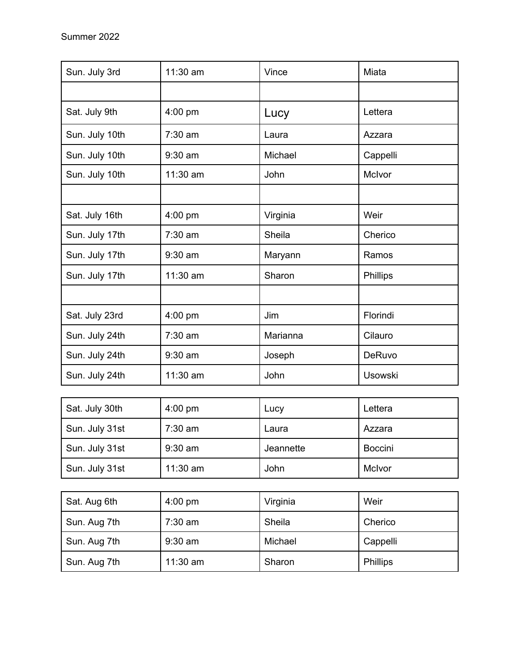| Sun. July 3rd  | 11:30 am  | Vince    | Miata          |
|----------------|-----------|----------|----------------|
|                |           |          |                |
| Sat. July 9th  | 4:00 pm   | Lucy     | Lettera        |
| Sun. July 10th | $7:30$ am | Laura    | Azzara         |
| Sun. July 10th | $9:30$ am | Michael  | Cappelli       |
| Sun. July 10th | 11:30 am  | John     | McIvor         |
|                |           |          |                |
| Sat. July 16th | 4:00 pm   | Virginia | Weir           |
| Sun. July 17th | $7:30$ am | Sheila   | Cherico        |
| Sun. July 17th | $9:30$ am | Maryann  | Ramos          |
| Sun. July 17th | 11:30 am  | Sharon   | Phillips       |
|                |           |          |                |
| Sat. July 23rd | 4:00 pm   | Jim      | Florindi       |
| Sun. July 24th | $7:30$ am | Marianna | Cilauro        |
| Sun. July 24th | $9:30$ am | Joseph   | DeRuvo         |
| Sun. July 24th | 11:30 am  | John     | <b>Usowski</b> |

| Sat. July 30th | $4:00$ pm  | Lucy      | Lettera        |
|----------------|------------|-----------|----------------|
| Sun. July 31st | $7:30$ am  | Laura     | Azzara         |
| Sun. July 31st | $9:30$ am  | Jeannette | <b>Boccini</b> |
| Sun. July 31st | $11:30$ am | John      | McIvor         |

| Sat. Aug 6th | $4:00 \text{ pm}$ | Virginia | Weir            |
|--------------|-------------------|----------|-----------------|
| Sun. Aug 7th | $7:30$ am         | Sheila   | Cherico         |
| Sun. Aug 7th | $9:30$ am         | Michael  | Cappelli        |
| Sun. Aug 7th | $11:30$ am        | Sharon   | <b>Phillips</b> |